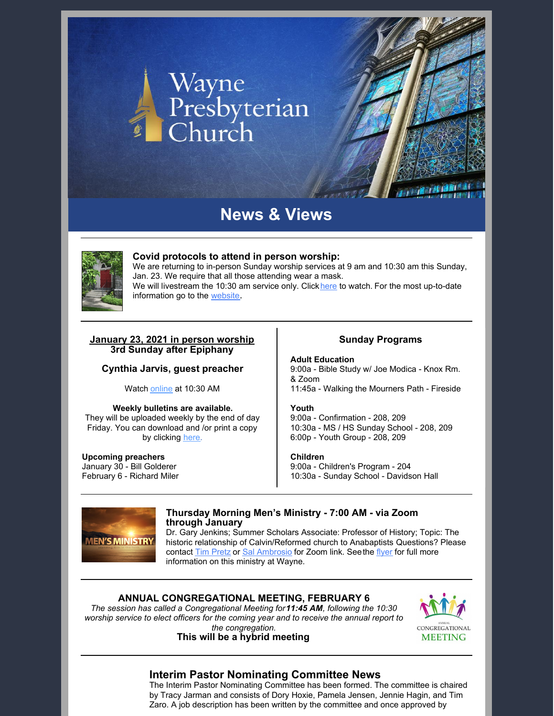# Wayne<br>Presbyterian<br>Church

# **News & Views**



#### **Covid protocols to attend in person worship:**

We are returning to in-person Sunday worship services at 9 am and 10:30 am this Sunday, Jan. 23. We require that all those attending wear a mask. We wi[l](https://waynepres.org/watch-live/)l livestream the 10:30 am service only. Click here to watch. For the most up-to-date information go to the [website](http://bit.ly/wpc-virtual).

#### **January 23, 2021 in person worship 3rd Sunday after Epiphany**

# **Cynthia Jarvis, guest preacher**

Watch [online](https://waynepres.org/watch-live) at 10:30 AM

#### **Weekly bulletins are available.**

They will be uploaded weekly by the end of day Friday. You can download and /or print a copy by clicking [here.](https://waynepres.org/weekly-bulletin/)

#### **Upcoming preachers**

January 30 - Bill Golderer February 6 - Richard Miler

#### **Sunday Programs**

**Adult Education** 9:00a - Bible Study w/ Joe Modica - Knox Rm. & Zoom 11:45a - Walking the Mourners Path - Fireside

#### **Youth**

9:00a - Confirmation - 208, 209 10:30a - MS / HS Sunday School - 208, 209 6:00p - Youth Group - 208, 209

#### **Children**

9:00a - Children's Program - 204 10:30a - Sunday School - Davidson Hall



# **Thursday Morning Men's Ministry - 7:00 AM - via Zoom through January**

Dr. Gary Jenkins; Summer Scholars Associate: Professor of History; Topic: The historic relationship of Calvin/Reformed church to Anabaptists Questions? Please contact Tim [Pretz](mailto:tpretz@eastern.edu) or Sal [Ambrosio](mailto:sambrosio55@gmail.com) for Zoom link. S[e](https://r20.rs6.net/tn.jsp?f=001_pxREmlxHtKKWQ9ptf4GwgAmN72btN6D6OGh4NN3EV0QS5xoSn52N-rV187w7fvsZtAgZfT1M89Er489KfuJnxnn_YnGDayy09qrbfpVVnrQh2YfNmtL606VKecsxvGuEVbvs_55BTCgKAvQq9wTdF2v0XKsXCjZ5sD1_KlY93G8C9U2_1HKiWb6zex-BzU19UwRg9zPnfhx68uuFjknUJR2QShfJkprt-rRBgzxRlz2W6aR4EyurN3L8Z1Efxxc712ojI8t4Fk0pBpxsXZQj7ywdSslRV9j8ep9ObQDuNT87QITuqjSPA==&c=rALpGQg44JkNWL-lc03oF-1pACYFZog4VBZYbBiUtrl1zHfvWmZdAw==&ch=YkKFSVEu-11CgD_0Zo91pz3Ibh6m471mO1gJrLzOqkZ4C1TzJiVgNg==)e the [flyer](https://e429e53b8afd32f046fe-6699eed64794bfba989b77f678f4ab91.ssl.cf2.rackcdn.com/uploaded/m/0e13475994_1640098937_mens-ministry-january-2022.pdf) for full more information on this ministry at Wayne.

# **ANNUAL CONGREGATIONAL MEETING, FEBRUARY 6**

*The session has called a Congregational Meeting for11:45 AM, following the 10:30 worship service to elect officers for the coming year and to receive the annual report to the congregation.*

# **This will be a hybrid meeting**



# **Interim Pastor Nominating Committee News**

The Interim Pastor Nominating Committee has been formed. The committee is chaired by Tracy Jarman and consists of Dory Hoxie, Pamela Jensen, Jennie Hagin, and Tim Zaro. A job description has been written by the committee and once approved by